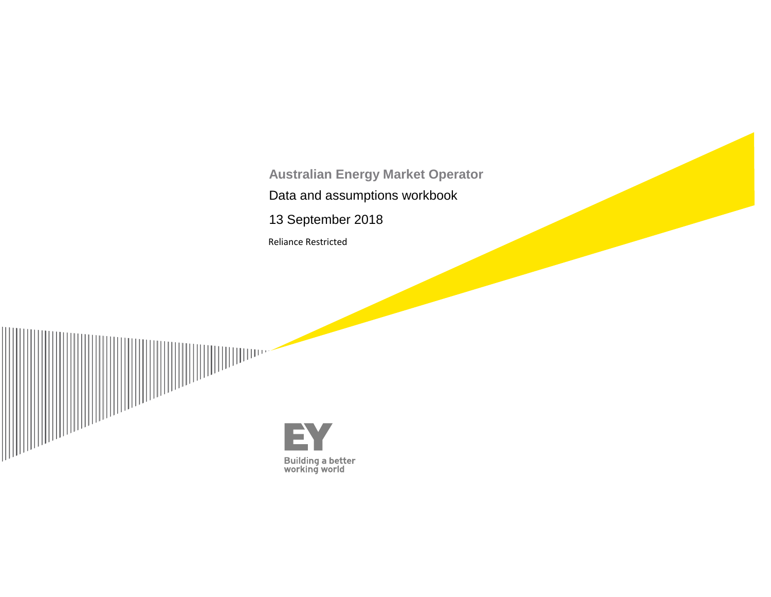**Australian Energy Market Operator** Data and assumptions workbook

13 September 2018

Reliance Restricted



E **Building a better<br>working world**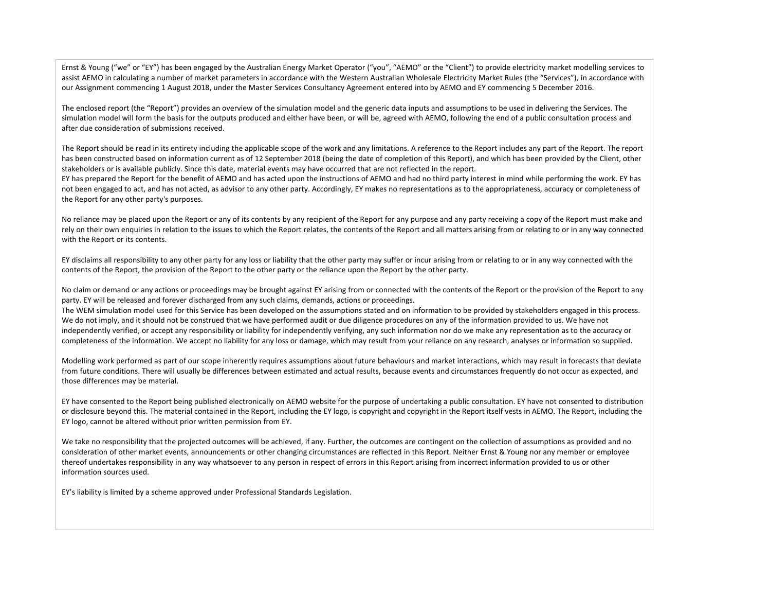Ernst & Young ("we" or "EY") has been engaged by the Australian Energy Market Operator ("you", "AEMO" or the "Client") to provide electricity market modelling services to assist AEMO in calculating a number of market parameters in accordance with the Western Australian Wholesale Electricity Market Rules (the "Services"), in accordance with our Assignment commencing 1 August 2018, under the Master Services Consultancy Agreement entered into by AEMO and EY commencing 5 December 2016.

The enclosed report (the "Report") provides an overview of the simulation model and the generic data inputs and assumptions to be used in delivering the Services. The simulation model will form the basis for the outputs produced and either have been, or will be, agreed with AEMO, following the end of a public consultation process and after due consideration of submissions received.

The Report should be read in its entirety including the applicable scope of the work and any limitations. A reference to the Report includes any part of the Report. The report has been constructed based on information current as of 12 September 2018 (being the date of completion of this Report), and which has been provided by the Client, other stakeholders or is available publicly. Since this date, material events may have occurred that are not reflected in the report.

EY has prepared the Report for the benefit of AEMO and has acted upon the instructions of AEMO and had no third party interest in mind while performing the work. EY has not been engaged to act, and has not acted, as advisor to any other party. Accordingly, EY makes no representations as to the appropriateness, accuracy or completeness of the Report for any other party's purposes.

No reliance may be placed upon the Report or any of its contents by any recipient of the Report for any purpose and any party receiving a copy of the Report must make and rely on their own enquiries in relation to the issues to which the Report relates, the contents of the Report and all matters arising from or relating to or in any way connected with the Report or its contents.

EY disclaims all responsibility to any other party for any loss or liability that the other party may suffer or incur arising from or relating to or in any way connected with the contents of the Report, the provision of the Report to the other party or the reliance upon the Report by the other party.

No claim or demand or any actions or proceedings may be brought against EY arising from or connected with the contents of the Report or the provision of the Report to any party. EY will be released and forever discharged from any such claims, demands, actions or proceedings.

The WEM simulation model used for this Service has been developed on the assumptions stated and on information to be provided by stakeholders engaged in this process. We do not imply, and it should not be construed that we have performed audit or due diligence procedures on any of the information provided to us. We have not independently verified, or accept any responsibility or liability for independently verifying, any such information nor do we make any representation as to the accuracy or completeness of the information. We accept no liability for any loss or damage, which may result from your reliance on any research, analyses or information so supplied.

Modelling work performed as part of our scope inherently requires assumptions about future behaviours and market interactions, which may result in forecasts that deviate from future conditions. There will usually be differences between estimated and actual results, because events and circumstances frequently do not occur as expected, and those differences may be material.

EY have consented to the Report being published electronically on AEMO website for the purpose of undertaking a public consultation. EY have not consented to distribution or disclosure beyond this. The material contained in the Report, including the EY logo, is copyright and copyright in the Report itself vests in AEMO. The Report, including the EY logo, cannot be altered without prior written permission from EY.

We take no responsibility that the projected outcomes will be achieved, if any. Further, the outcomes are contingent on the collection of assumptions as provided and no consideration of other market events, announcements or other changing circumstances are reflected in this Report. Neither Ernst & Young nor any member or employee thereof undertakes responsibility in any way whatsoever to any person in respect of errors in this Report arising from incorrect information provided to us or other information sources used.

EY's liability is limited by a scheme approved under Professional Standards Legislation.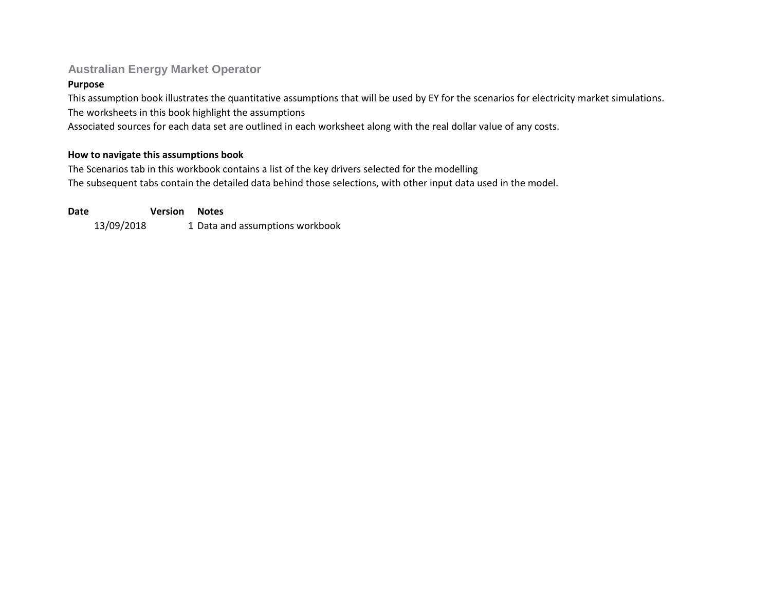# **Australian Energy Market Operator**

# **Purpose**

This assumption book illustrates the quantitative assumptions that will be used by EY for the scenarios for electricity market simulations. The worksheets in this book highlight the assumptions

Associated sources for each data set are outlined in each worksheet along with the real dollar value of any costs.

# **How to navigate this assumptions book**

The Scenarios tab in this workbook contains a list of the key drivers selected for the modelling The subsequent tabs contain the detailed data behind those selections, with other input data used in the model.

13/09/2018 1 Data and assumptions workbook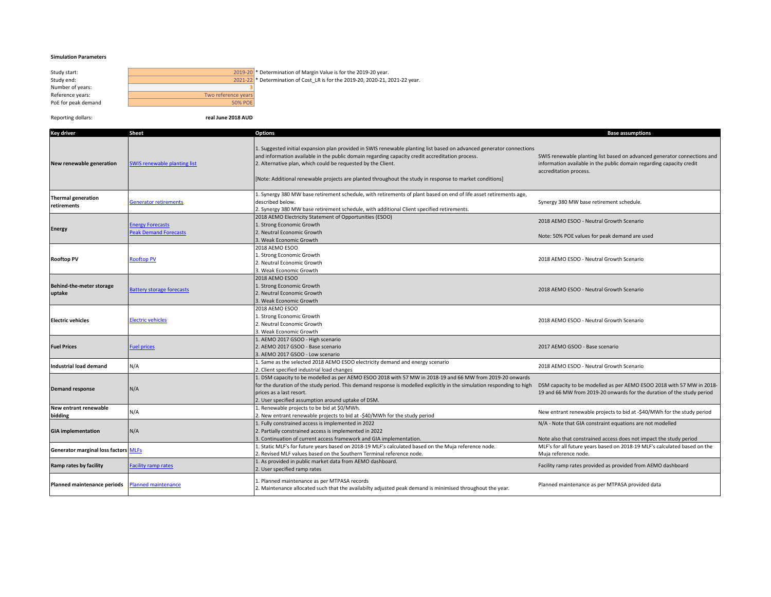### **Simulation Parameters**

| Study start:        | 2019-20             |
|---------------------|---------------------|
| Study end:          | 2021-22             |
| Number of years:    |                     |
| Reference years:    | Two reference years |
| PoE for peak demand | 50% POE             |
|                     |                     |

Study start: 2019-20 \* Determination of Margin Value is for the 2019-20 year. Study end: 2021-22 \* Determination of Cost\_LR is for the 2019-20, 2020-21, 2021-22 year.

Reporting dollars: **real June 2018 AUD**

| Key driver                                | <b>Sheet</b>                                            | <b>Options</b>                                                                                                                                                                                                                                                                                                                                                                                     | <b>Base assumptions</b>                                                                                                                                                    |
|-------------------------------------------|---------------------------------------------------------|----------------------------------------------------------------------------------------------------------------------------------------------------------------------------------------------------------------------------------------------------------------------------------------------------------------------------------------------------------------------------------------------------|----------------------------------------------------------------------------------------------------------------------------------------------------------------------------|
| New renewable generation                  | <b>SWIS renewable planting list</b>                     | 1. Suggested initial expansion plan provided in SWIS renewable planting list based on advanced generator connections<br>and information available in the public domain regarding capacity credit accreditation process.<br>2. Alternative plan, which could be requested by the Client.<br>[Note: Additional renewable projects are planted throughout the study in response to market conditions] | SWIS renewable planting list based on advanced generator connections and<br>information available in the public domain regarding capacity credit<br>accreditation process. |
| <b>Thermal generation</b><br>retirements  | <b>Generator retirements</b>                            | 1. Synergy 380 MW base retirement schedule, with retirements of plant based on end of life asset retirements age,<br>described below.<br>2. Synergy 380 MW base retirement schedule, with additional Client specified retirements.                                                                                                                                                                 | Synergy 380 MW base retirement schedule.                                                                                                                                   |
| <b>Energy</b>                             | <b>Energy Forecasts</b><br><b>Peak Demand Forecasts</b> | 2018 AEMO Electricity Statement of Opportunities (ESOO)<br>1. Strong Economic Growth<br>2. Neutral Economic Growth                                                                                                                                                                                                                                                                                 | 2018 AEMO ESOO - Neutral Growth Scenario<br>Note: 50% POE values for peak demand are used                                                                                  |
| <b>Rooftop PV</b>                         | <b>Rooftop PV</b>                                       | 3. Weak Economic Growth<br>2018 AEMO ESOO<br>1. Strong Economic Growth<br>2. Neutral Economic Growth<br>3. Weak Economic Growth                                                                                                                                                                                                                                                                    | 2018 AEMO ESOO - Neutral Growth Scenario                                                                                                                                   |
| <b>Behind-the-meter storage</b><br>uptake | <b>Battery storage forecasts</b>                        | 2018 AEMO ESOO<br>1. Strong Economic Growth<br>2. Neutral Economic Growth<br>3. Weak Economic Growth                                                                                                                                                                                                                                                                                               | 2018 AEMO ESOO - Neutral Growth Scenario                                                                                                                                   |
| <b>Electric vehicles</b>                  | <b>Electric vehicles</b>                                | 2018 AEMO ESOO<br>1. Strong Economic Growth<br>2. Neutral Economic Growth<br>3. Weak Economic Growth                                                                                                                                                                                                                                                                                               | 2018 AEMO ESOO - Neutral Growth Scenario                                                                                                                                   |
| <b>Fuel Prices</b>                        | <b>Fuel prices</b>                                      | 1. AEMO 2017 GSOO - High scenario<br>2. AEMO 2017 GSOO - Base scenario<br>3. AEMO 2017 GSOO - Low scenario                                                                                                                                                                                                                                                                                         | 2017 AEMO GSOO - Base scenario                                                                                                                                             |
| <b>Industrial load demand</b>             | N/A                                                     | 1. Same as the selected 2018 AEMO ESOO electricity demand and energy scenario<br>2. Client specified industrial load changes                                                                                                                                                                                                                                                                       | 2018 AEMO ESOO - Neutral Growth Scenario                                                                                                                                   |
| <b>Demand response</b>                    | N/A                                                     | 1. DSM capacity to be modelled as per AEMO ESOO 2018 with 57 MW in 2018-19 and 66 MW from 2019-20 onwards<br>for the duration of the study period. This demand response is modelled explicitly in the simulation responding to high<br>prices as a last resort.<br>2. User specified assumption around uptake of DSM.                                                                              | DSM capacity to be modelled as per AEMO ESOO 2018 with 57 MW in 2018-<br>19 and 66 MW from 2019-20 onwards for the duration of the study period                            |
| New entrant renewable<br>bidding          | N/A                                                     | L. Renewable projects to be bid at \$0/MWh.<br>2. New entrant renewable projects to bid at -\$40/MWh for the study period                                                                                                                                                                                                                                                                          | New entrant renewable projects to bid at -\$40/MWh for the study period                                                                                                    |
| <b>GIA implementation</b>                 | N/A                                                     | 1. Fully constrained access is implemented in 2022<br>2. Partially constrained access is implemented in 2022<br>3. Continuation of current access framework and GIA implementation.                                                                                                                                                                                                                | N/A - Note that GIA constraint equations are not modelled<br>Note also that constrained access does not impact the study period                                            |
| Generator marginal loss factors MLFs      |                                                         | . Static MLF's for future years based on 2018-19 MLF's calculated based on the Muja reference node.<br>2. Revised MLF values based on the Southern Terminal reference node.                                                                                                                                                                                                                        | MLF's for all future years based on 2018-19 MLF's calculated based on the<br>Muja reference node.                                                                          |
| Ramp rates by facility                    | Facility ramp rates                                     | 1. As provided in public market data from AEMO dashboard.<br>2. User specified ramp rates                                                                                                                                                                                                                                                                                                          | Facility ramp rates provided as provided from AEMO dashboard                                                                                                               |
| Planned maintenance periods               | <b>Planned maintenance</b>                              | 1. Planned maintenance as per MTPASA records<br>2. Maintenance allocated such that the availabilty adjusted peak demand is minimised throughout the year.                                                                                                                                                                                                                                          | Planned maintenance as per MTPASA provided data                                                                                                                            |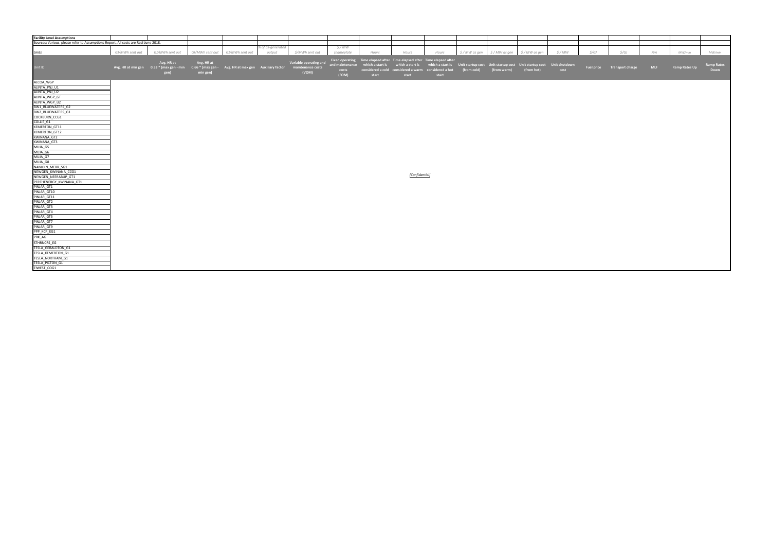| <b>Facility Level Assumptions</b>                                                   |                 |                                                                                                                      |                 |                 |                   |                        |                 |       |                                                                          |                                                                                      |                         |                                                     |              |       |                             |            |               |                   |
|-------------------------------------------------------------------------------------|-----------------|----------------------------------------------------------------------------------------------------------------------|-----------------|-----------------|-------------------|------------------------|-----------------|-------|--------------------------------------------------------------------------|--------------------------------------------------------------------------------------|-------------------------|-----------------------------------------------------|--------------|-------|-----------------------------|------------|---------------|-------------------|
| Sources: Various, please refer to Assumptions Report. All costs are Real June 2018. |                 |                                                                                                                      |                 |                 |                   |                        |                 |       |                                                                          |                                                                                      |                         |                                                     |              |       |                             |            |               |                   |
|                                                                                     |                 |                                                                                                                      |                 |                 | % of as-generated |                        | <i>\$/MW</i>    |       |                                                                          |                                                                                      |                         |                                                     |              |       |                             |            |               |                   |
| Units                                                                               | GJ/MWh sent out | GJ/MWh sent out                                                                                                      | GJ/MWh sent out | GJ/MWh sent out | output            | \$/MWh sent out        | (nameplate      | Hours | Hours                                                                    | Hours                                                                                | \$ / MW as gen          | $\frac{1}{2}$ / MW as gen $\frac{1}{2}$ / MW as gen | <i>\$/MW</i> | \$/GJ | <i>Ś/GJ</i>                 | N/A        | MW/min        | MW/min            |
|                                                                                     |                 |                                                                                                                      |                 |                 |                   |                        |                 |       |                                                                          |                                                                                      |                         |                                                     |              |       |                             |            |               |                   |
|                                                                                     |                 | Avg. HR at                                                                                                           | Avg. HR at      |                 |                   | Variable operating and |                 |       | Fixed operating Time elapsed after Time elapsed after Time elapsed after |                                                                                      |                         |                                                     |              |       |                             |            |               |                   |
| Unit ID                                                                             |                 | Avg. HR at min gen  0.33 * [max gen - min  0.66 * [max gen - Avg. HR at max gen  Auxiliary factor  maintenance costs |                 |                 |                   |                        | and maintenance |       | which a start is which a start is                                        | which a start is Unit startup cost Unit startup cost Unit startup cost Unit shutdown |                         |                                                     |              |       | Fuel price Transport charge | <b>MLF</b> | Ramp Rates Up | <b>Ramp Rates</b> |
|                                                                                     |                 | gen]                                                                                                                 | min gen]        |                 |                   | (VOM)                  | costs           |       | considered a cold considered a warm considered a hot                     |                                                                                      | (from cold) (from warm) | (from hot)                                          | cost         |       |                             |            |               | Down              |
|                                                                                     |                 |                                                                                                                      |                 |                 |                   |                        | (FOM)           | start | start                                                                    | start                                                                                |                         |                                                     |              |       |                             |            |               |                   |
| ALCOA_WGP                                                                           |                 |                                                                                                                      |                 |                 |                   |                        |                 |       |                                                                          |                                                                                      |                         |                                                     |              |       |                             |            |               |                   |
| ALINTA PNJ U1                                                                       |                 |                                                                                                                      |                 |                 |                   |                        |                 |       |                                                                          |                                                                                      |                         |                                                     |              |       |                             |            |               |                   |
| ALINTA_PNJ_U2                                                                       |                 |                                                                                                                      |                 |                 |                   |                        |                 |       |                                                                          |                                                                                      |                         |                                                     |              |       |                             |            |               |                   |
| ALINTA WGP GT                                                                       |                 |                                                                                                                      |                 |                 |                   |                        |                 |       |                                                                          |                                                                                      |                         |                                                     |              |       |                             |            |               |                   |
| ALINTA_WGP_U2                                                                       |                 |                                                                                                                      |                 |                 |                   |                        |                 |       |                                                                          |                                                                                      |                         |                                                     |              |       |                             |            |               |                   |
| BW1 BLUEWATERS G2                                                                   |                 |                                                                                                                      |                 |                 |                   |                        |                 |       |                                                                          |                                                                                      |                         |                                                     |              |       |                             |            |               |                   |
| BW2_BLUEWATERS_G1                                                                   |                 |                                                                                                                      |                 |                 |                   |                        |                 |       |                                                                          |                                                                                      |                         |                                                     |              |       |                             |            |               |                   |
| COCKBURN CCG1                                                                       |                 |                                                                                                                      |                 |                 |                   |                        |                 |       |                                                                          |                                                                                      |                         |                                                     |              |       |                             |            |               |                   |
| COLLIE_G1                                                                           |                 |                                                                                                                      |                 |                 |                   |                        |                 |       |                                                                          |                                                                                      |                         |                                                     |              |       |                             |            |               |                   |
| KEMERTON_GT11                                                                       |                 |                                                                                                                      |                 |                 |                   |                        |                 |       |                                                                          |                                                                                      |                         |                                                     |              |       |                             |            |               |                   |
| <b>KEMERTON GT12</b>                                                                |                 |                                                                                                                      |                 |                 |                   |                        |                 |       |                                                                          |                                                                                      |                         |                                                     |              |       |                             |            |               |                   |
| KWINANA_GT2                                                                         |                 |                                                                                                                      |                 |                 |                   |                        |                 |       |                                                                          |                                                                                      |                         |                                                     |              |       |                             |            |               |                   |
| KWINANA GT3                                                                         |                 |                                                                                                                      |                 |                 |                   |                        |                 |       |                                                                          |                                                                                      |                         |                                                     |              |       |                             |            |               |                   |
| MUJA_G5                                                                             |                 |                                                                                                                      |                 |                 |                   |                        |                 |       |                                                                          |                                                                                      |                         |                                                     |              |       |                             |            |               |                   |
| MUJA G6                                                                             |                 |                                                                                                                      |                 |                 |                   |                        |                 |       |                                                                          |                                                                                      |                         |                                                     |              |       |                             |            |               |                   |
| MUJA G7                                                                             |                 |                                                                                                                      |                 |                 |                   |                        |                 |       |                                                                          |                                                                                      |                         |                                                     |              |       |                             |            |               |                   |
| MUJA G8                                                                             |                 |                                                                                                                      |                 |                 |                   |                        |                 |       |                                                                          |                                                                                      |                         |                                                     |              |       |                             |            |               |                   |
| NAMKKN MERR SG1                                                                     |                 |                                                                                                                      |                 |                 |                   |                        |                 |       |                                                                          |                                                                                      |                         |                                                     |              |       |                             |            |               |                   |
| NEWGEN KWINANA CCG1                                                                 |                 |                                                                                                                      |                 |                 |                   |                        |                 |       | [Confidential]                                                           |                                                                                      |                         |                                                     |              |       |                             |            |               |                   |
| NEWGEN NEERABUP GT1                                                                 |                 |                                                                                                                      |                 |                 |                   |                        |                 |       |                                                                          |                                                                                      |                         |                                                     |              |       |                             |            |               |                   |
| PERTHENERGY KWINANA GT1                                                             |                 |                                                                                                                      |                 |                 |                   |                        |                 |       |                                                                          |                                                                                      |                         |                                                     |              |       |                             |            |               |                   |
| PINJAR GT1                                                                          |                 |                                                                                                                      |                 |                 |                   |                        |                 |       |                                                                          |                                                                                      |                         |                                                     |              |       |                             |            |               |                   |
| PINJAR GT10                                                                         |                 |                                                                                                                      |                 |                 |                   |                        |                 |       |                                                                          |                                                                                      |                         |                                                     |              |       |                             |            |               |                   |
| PINJAR GT11                                                                         |                 |                                                                                                                      |                 |                 |                   |                        |                 |       |                                                                          |                                                                                      |                         |                                                     |              |       |                             |            |               |                   |
| PINJAR_GT2                                                                          |                 |                                                                                                                      |                 |                 |                   |                        |                 |       |                                                                          |                                                                                      |                         |                                                     |              |       |                             |            |               |                   |
| PINJAR_GT3                                                                          |                 |                                                                                                                      |                 |                 |                   |                        |                 |       |                                                                          |                                                                                      |                         |                                                     |              |       |                             |            |               |                   |
| PINJAR GT4                                                                          |                 |                                                                                                                      |                 |                 |                   |                        |                 |       |                                                                          |                                                                                      |                         |                                                     |              |       |                             |            |               |                   |
| PINJAR_GT5                                                                          |                 |                                                                                                                      |                 |                 |                   |                        |                 |       |                                                                          |                                                                                      |                         |                                                     |              |       |                             |            |               |                   |
| PINJAR GT7<br>PINJAR_GT9                                                            |                 |                                                                                                                      |                 |                 |                   |                        |                 |       |                                                                          |                                                                                      |                         |                                                     |              |       |                             |            |               |                   |
| PPP_KCP_EG1                                                                         |                 |                                                                                                                      |                 |                 |                   |                        |                 |       |                                                                          |                                                                                      |                         |                                                     |              |       |                             |            |               |                   |
|                                                                                     |                 |                                                                                                                      |                 |                 |                   |                        |                 |       |                                                                          |                                                                                      |                         |                                                     |              |       |                             |            |               |                   |
| PRK_AG                                                                              |                 |                                                                                                                      |                 |                 |                   |                        |                 |       |                                                                          |                                                                                      |                         |                                                     |              |       |                             |            |               |                   |
| STHRNCRS EG                                                                         |                 |                                                                                                                      |                 |                 |                   |                        |                 |       |                                                                          |                                                                                      |                         |                                                     |              |       |                             |            |               |                   |
| TESLA GERALDTON G1                                                                  |                 |                                                                                                                      |                 |                 |                   |                        |                 |       |                                                                          |                                                                                      |                         |                                                     |              |       |                             |            |               |                   |
| <b>TESLA KEMERTON G1</b>                                                            |                 |                                                                                                                      |                 |                 |                   |                        |                 |       |                                                                          |                                                                                      |                         |                                                     |              |       |                             |            |               |                   |
| TESLA NORTHAM G1                                                                    |                 |                                                                                                                      |                 |                 |                   |                        |                 |       |                                                                          |                                                                                      |                         |                                                     |              |       |                             |            |               |                   |
| TESLA_PICTON_G1                                                                     |                 |                                                                                                                      |                 |                 |                   |                        |                 |       |                                                                          |                                                                                      |                         |                                                     |              |       |                             |            |               |                   |
| TIWEST_COG1                                                                         |                 |                                                                                                                      |                 |                 |                   |                        |                 |       |                                                                          |                                                                                      |                         |                                                     |              |       |                             |            |               |                   |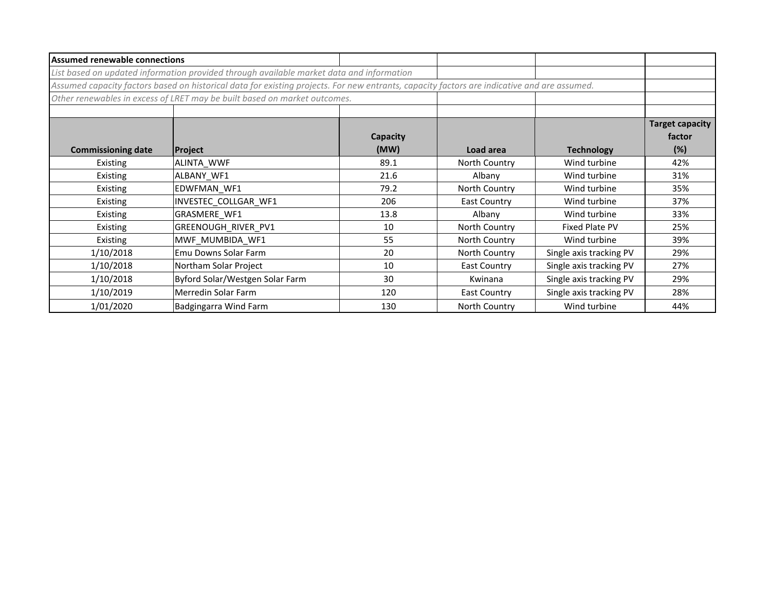| <b>Assumed renewable connections</b> |                                                                                                                                             |                  |                     |                         |                                         |
|--------------------------------------|---------------------------------------------------------------------------------------------------------------------------------------------|------------------|---------------------|-------------------------|-----------------------------------------|
|                                      | List based on updated information provided through available market data and information                                                    |                  |                     |                         |                                         |
|                                      | Assumed capacity factors based on historical data for existing projects. For new entrants, capacity factors are indicative and are assumed. |                  |                     |                         |                                         |
|                                      | Other renewables in excess of LRET may be built based on market outcomes.                                                                   |                  |                     |                         |                                         |
| <b>Commissioning date</b>            | Project                                                                                                                                     | Capacity<br>(MW) | Load area           | <b>Technology</b>       | <b>Target capacity</b><br>factor<br>(%) |
| Existing                             | ALINTA_WWF                                                                                                                                  | 89.1             | North Country       | Wind turbine            | 42%                                     |
| Existing                             | ALBANY WF1                                                                                                                                  | 21.6             | Albany              | Wind turbine            | 31%                                     |
| Existing                             | EDWFMAN WF1                                                                                                                                 | 79.2             | North Country       | Wind turbine            | 35%                                     |
| Existing                             | INVESTEC COLLGAR WF1                                                                                                                        | 206              | <b>East Country</b> | Wind turbine            | 37%                                     |
| Existing                             | GRASMERE WF1                                                                                                                                | 13.8             | Albany              | Wind turbine            | 33%                                     |
| Existing                             | GREENOUGH_RIVER_PV1                                                                                                                         | 10               | North Country       | <b>Fixed Plate PV</b>   | 25%                                     |
| Existing                             | MWF MUMBIDA WF1                                                                                                                             | 55               | North Country       | Wind turbine            | 39%                                     |
| 1/10/2018                            | Emu Downs Solar Farm                                                                                                                        | 20               | North Country       | Single axis tracking PV | 29%                                     |
| 1/10/2018                            | Northam Solar Project                                                                                                                       | 10               | <b>East Country</b> | Single axis tracking PV | 27%                                     |
| 1/10/2018                            | Byford Solar/Westgen Solar Farm                                                                                                             | 30               | Kwinana             | Single axis tracking PV | 29%                                     |
| 1/10/2019                            | Merredin Solar Farm                                                                                                                         | 120              | <b>East Country</b> | Single axis tracking PV | 28%                                     |
| 1/01/2020                            | Badgingarra Wind Farm                                                                                                                       | 130              | North Country       | Wind turbine            | 44%                                     |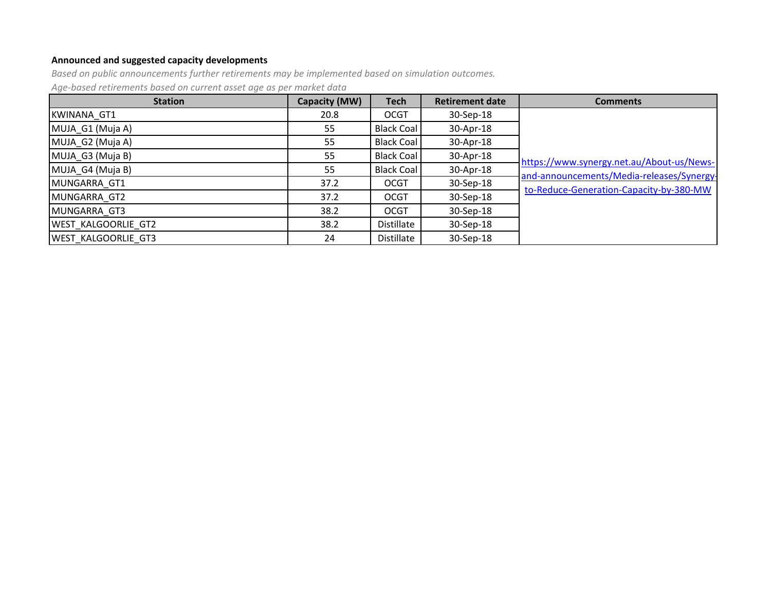# **Announced and suggested capacity developments**

*Based on public announcements further retirements may be implemented based on simulation outcomes.*

*Age-based retirements based on current asset age as per market data*

| <b>Station</b>             | Capacity (MW) | <b>Tech</b>       | <b>Retirement date</b> | <b>Comments</b>                           |
|----------------------------|---------------|-------------------|------------------------|-------------------------------------------|
| <b>KWINANA GT1</b>         | 20.8          | <b>OCGT</b>       | 30-Sep-18              |                                           |
| MUJA G1 (Muja A)           | 55            | <b>Black Coal</b> | 30-Apr-18              |                                           |
| MUJA G2 (Muja A)           | 55            | <b>Black Coal</b> | 30-Apr-18              |                                           |
| MUJA G3 (Muja B)           | 55            | Black Coal        | 30-Apr-18              | https://www.synergy.net.au/About-us/News- |
| MUJA G4 (Muja B)           | 55            | Black Coal        | 30-Apr-18              | and-announcements/Media-releases/Synergy- |
| MUNGARRA GT1               | 37.2          | <b>OCGT</b>       | 30-Sep-18              | to-Reduce-Generation-Capacity-by-380-MW   |
| MUNGARRA GT2               | 37.2          | <b>OCGT</b>       | 30-Sep-18              |                                           |
| MUNGARRA GT3               | 38.2          | <b>OCGT</b>       | 30-Sep-18              |                                           |
| <b>WEST KALGOORLIE GT2</b> | 38.2          | Distillate        | 30-Sep-18              |                                           |
| <b>WEST KALGOORLIE GT3</b> | 24            | Distillate        | 30-Sep-18              |                                           |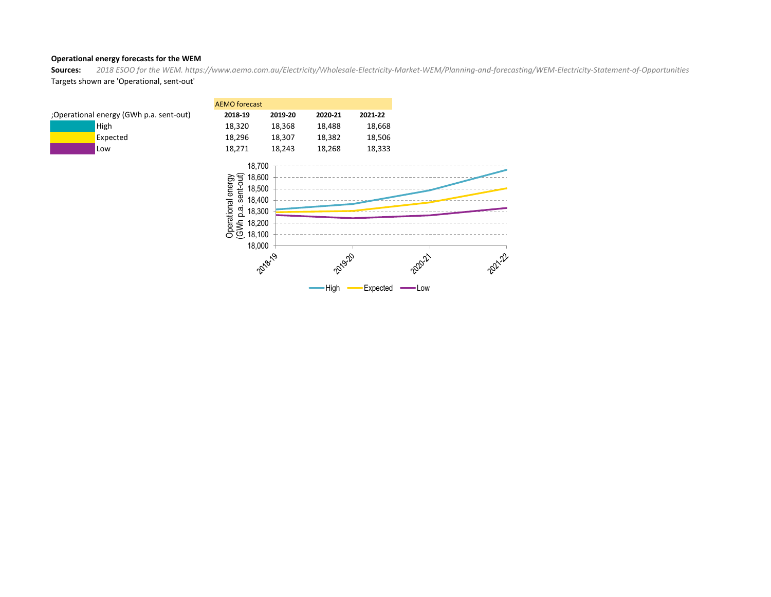### **Operational energy forecasts for the WEM**

**Sources:** *2018 ESOO for the WEM. https://www.aemo.com.au/Electricity/Wholesale-Electricity-Market-WEM/Planning-and-forecasting/WEM-Electricity-Statement-of-Opportunities* Targets shown are 'Operational, sent-out'

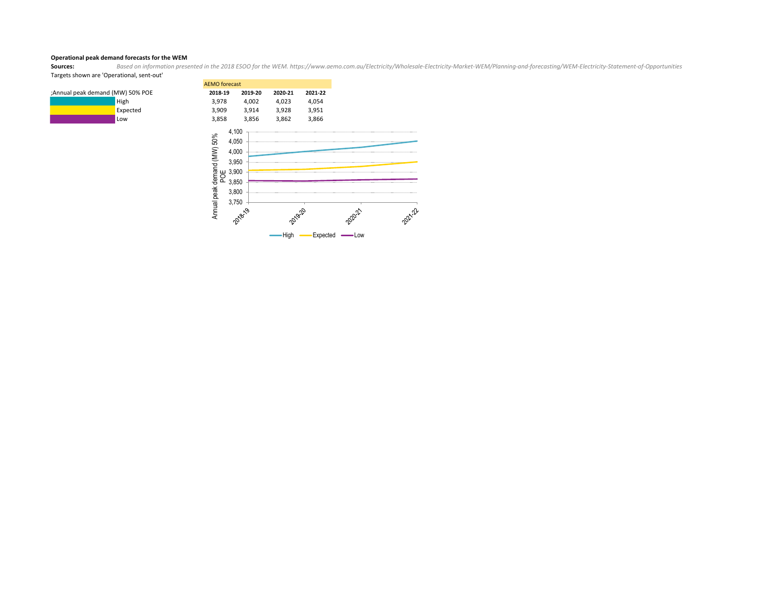# **Operational peak demand forecasts for the WEM**<br>**Sources:** Based on information prese

**Sources:** *Based on information presented in the 2018 ESOO for the WEM. https://www.aemo.com.au/Electricity/Wholesale-Electricity-Market-WEM/Planning-and-forecasting/WEM-Electricity-Statement-of-Opportunities* Targets shown are 'Operational, sent-out'

2021-22

|                                 | <b>AEMO</b> forecast                   |                                                                                 |         |         |
|---------------------------------|----------------------------------------|---------------------------------------------------------------------------------|---------|---------|
| Annual peak demand (MW) 50% POE | 2018-19                                | 2019-20                                                                         | 2020-21 | 2021-22 |
| High                            | 3,978                                  | 4,002                                                                           | 4,023   | 4,054   |
| Expected                        | 3,909                                  | 3,914                                                                           | 3,928   | 3,951   |
| Low                             | 3,858                                  | 3,856                                                                           | 3,862   | 3,866   |
|                                 | Annual peak demand (MW) 50%<br>y,<br>ᄘ | 4,100<br>4,050<br>4,000<br>3,950<br>3,900<br>3,850<br>3,800<br>3,750<br>2018-19 | 2019-20 |         |



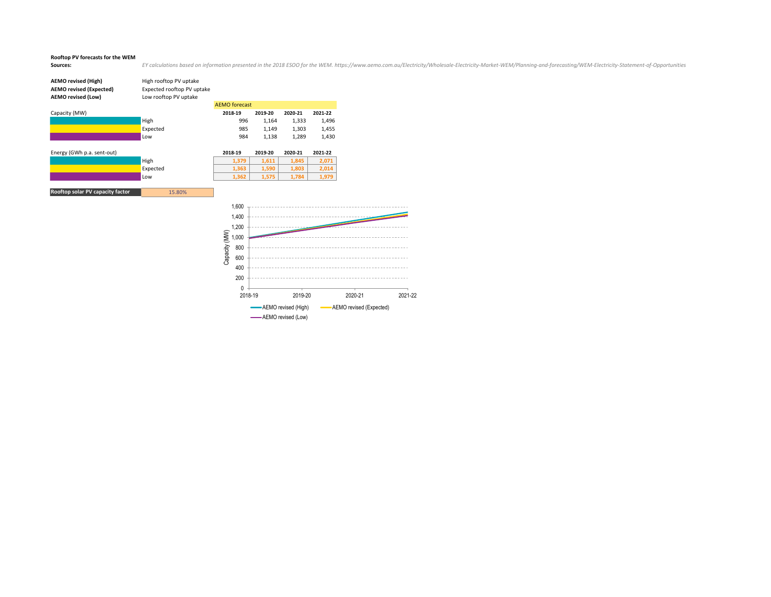### **Rooftop PV forecasts for the WEM**

Sources: EY calculations based on information presented in the 2018 ESOO for the WEM. https://www.aemo.com.au/Electricity/Wholesale-Electricity-Market-WEM/Planning-and-forecasting/WEM-Electricity-Statement-of-Opportunities

2021-22

| <b>AEMO revised (High)</b><br><b>AEMO revised (Expected)</b><br><b>AEMO revised (Low)</b> | High rooftop PV uptake<br>Expected rooftop PV uptake<br>Low rooftop PV uptake |                        |         |                      |                         |
|-------------------------------------------------------------------------------------------|-------------------------------------------------------------------------------|------------------------|---------|----------------------|-------------------------|
|                                                                                           |                                                                               | <b>AEMO</b> forecast   |         |                      |                         |
| Capacity (MW)                                                                             |                                                                               | 2018-19                | 2019-20 | 2020-21              | 2021-22                 |
|                                                                                           | High                                                                          | 996                    | 1,164   | 1,333                | 1,496                   |
|                                                                                           | Expected                                                                      | 985                    | 1,149   | 1,303                | 1,455                   |
|                                                                                           | Low                                                                           | 984                    | 1,138   | 1,289                | 1,430                   |
| Energy (GWh p.a. sent-out)                                                                |                                                                               | 2018-19                | 2019-20 | 2020-21              | 2021-22                 |
|                                                                                           | High                                                                          | 1,379                  | 1,611   | 1,845                | 2,071                   |
|                                                                                           | Expected                                                                      | 1,363                  | 1,590   | 1,803                | 2,014                   |
|                                                                                           | Low                                                                           | 1,362                  | 1,575   | 1,784                | 1,979                   |
| Rooftop solar PV capacity factor                                                          | 15.80%                                                                        |                        |         |                      |                         |
|                                                                                           |                                                                               | 1,600                  |         |                      |                         |
|                                                                                           |                                                                               | 1,400                  |         |                      |                         |
|                                                                                           |                                                                               | 1,200                  |         |                      |                         |
|                                                                                           |                                                                               | Capacity (MW)<br>1,000 |         |                      |                         |
|                                                                                           |                                                                               | 800                    |         |                      |                         |
|                                                                                           |                                                                               | 600                    |         |                      |                         |
|                                                                                           |                                                                               | 400                    |         |                      |                         |
|                                                                                           |                                                                               | 200                    |         |                      |                         |
|                                                                                           |                                                                               | $\Omega$<br>2018-19    |         | 2019-20              |                         |
|                                                                                           |                                                                               |                        |         | -AEMO revised (High) | AEMO revised (Expected) |

**AEMO** revised (Low)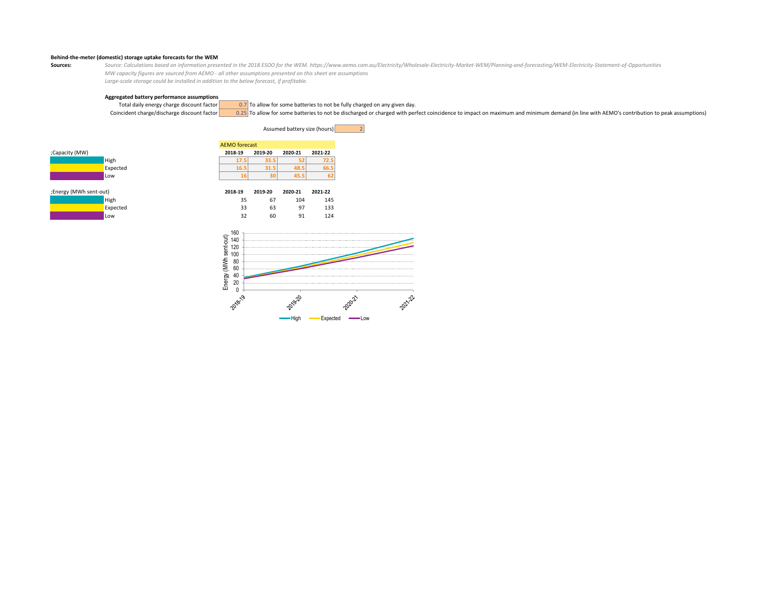### **Behind-the-meter (domestic) storage uptake forecasts for the WEM**

Source: Calculations based on information presented in the 2018 ESOO for the WEM. https://www.aemo.com.au/Electricity/Wholesale-Electricity-Market-WEM/Planning-and-forecasting/WEM-Electricity-Statement-of-Opportunities *MW capacity figures are sourced from AEMO - all other assumptions presented on this sheet are assumptions Large-scale storage could be installed in addition to the below forecast, if profitable.*

# **Aggregated battery performance assumptions**

Total daily energy charge discount factor  $\frac{0.7}{0.25}$  To allow for some batteries to not be fully charged or charged with per Coincident charged ischarged with per 0.25 To allow for some batteries to not be discharged or charged with perfect coincidence to impact on maximum and minimum demand (in line with AEMO's contribution to peak assumptions)











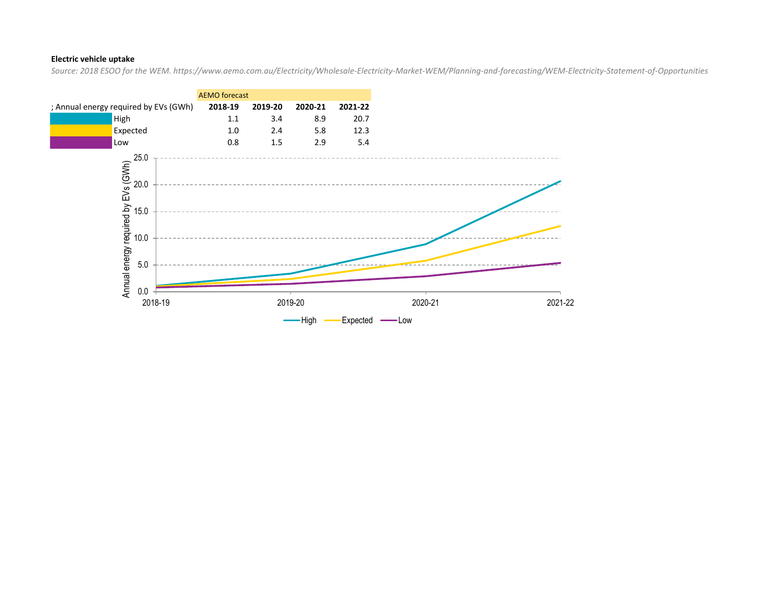### **Electric vehicle uptake**

*Source: 2018 ESOO for the WEM. https://www.aemo.com.au/Electricity/Wholesale-Electricity-Market-WEM/Planning-and-forecasting/WEM-Electricity-Statement-of-Opportunities*

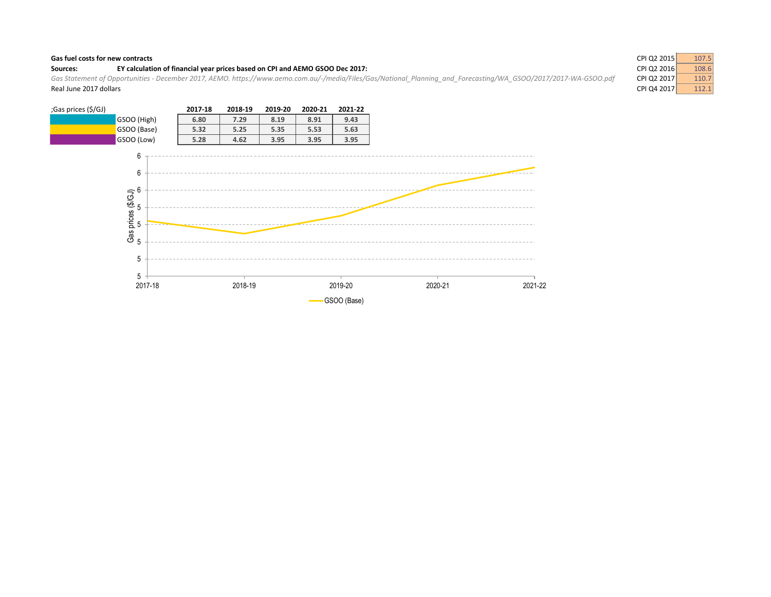### **Gas fuel costs for new contracts**

### Sources: **EY calculation of financial year prices based on CPI and AEMO GSOO Dec 2017:**

Gas Statement of Opportunities - December 2017, AEMO. https://www.aemo.com.au/-/media/Files/Gas/National\_Planning\_and\_Forecasting/WA\_GSOO/2017/2017-WA-GSOO.pdf Real June 2017 dollars **CPI Q4 2017** 2017 2017 2017 2018 2017 2018 2019 2019 2017 2018 2017 2018 2017 2018 2017 201

| ;Gas prices (\$/GJ) |                                                             | 2017-18 | 2018-19 | 2019-20 | 2020-21 | 2021-22     |         |         |
|---------------------|-------------------------------------------------------------|---------|---------|---------|---------|-------------|---------|---------|
|                     | GSOO (High)                                                 | 6.80    | 7.29    | 8.19    | 8.91    | 9.43        |         |         |
|                     | GSOO (Base)                                                 | 5.32    | 5.25    | 5.35    | 5.53    | 5.63        |         |         |
|                     | GSOO (Low)                                                  | 5.28    | 4.62    | 3.95    | 3.95    | 3.95        |         |         |
|                     | 6<br>6<br>Gas prices (\$/GJ)<br>பின் பின் சை<br>5<br>5<br>5 |         |         |         |         |             |         |         |
|                     | 2017-18                                                     |         | 2018-19 |         |         | 2019-20     | 2020-21 | 2021-22 |
|                     |                                                             |         |         |         |         | GSOO (Base) |         |         |

| CPI Q2 2015<br>107.5 |
|----------------------|
| 108.6                |
| 110.7                |
| 112.1                |
|                      |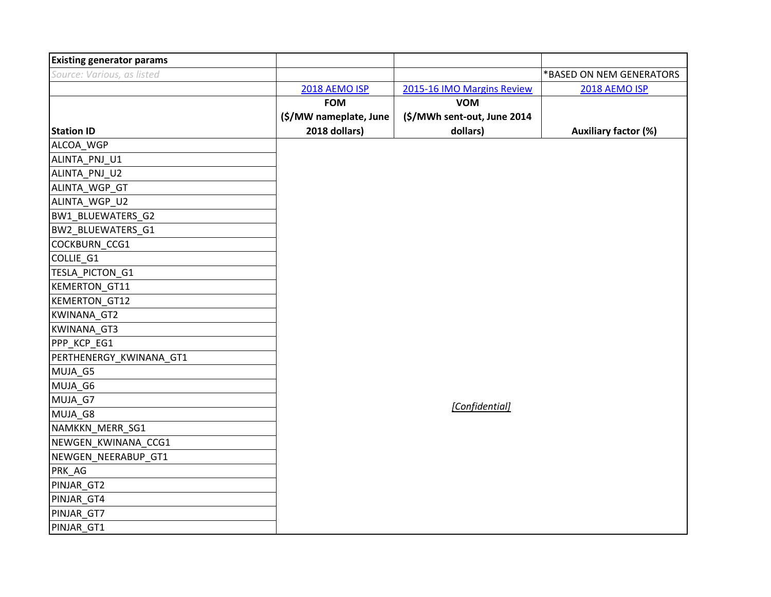| <b>Existing generator params</b> |                        |                             |                             |
|----------------------------------|------------------------|-----------------------------|-----------------------------|
| Source: Various, as listed       |                        |                             | *BASED ON NEM GENERATORS    |
|                                  | 2018 AEMO ISP          | 2015-16 IMO Margins Review  | 2018 AEMO ISP               |
|                                  | <b>FOM</b>             | <b>VOM</b>                  |                             |
|                                  | (\$/MW nameplate, June | (\$/MWh sent-out, June 2014 |                             |
| <b>Station ID</b>                | 2018 dollars)          | dollars)                    | <b>Auxiliary factor (%)</b> |
| ALCOA_WGP                        |                        |                             |                             |
| ALINTA_PNJ_U1                    |                        |                             |                             |
| ALINTA_PNJ_U2                    |                        |                             |                             |
| ALINTA_WGP_GT                    |                        |                             |                             |
| ALINTA_WGP_U2                    |                        |                             |                             |
| BW1_BLUEWATERS_G2                |                        |                             |                             |
| BW2_BLUEWATERS_G1                |                        |                             |                             |
| COCKBURN_CCG1                    |                        |                             |                             |
| COLLIE_G1                        |                        |                             |                             |
| TESLA_PICTON_G1                  |                        |                             |                             |
| KEMERTON_GT11                    |                        |                             |                             |
| KEMERTON_GT12                    |                        |                             |                             |
| KWINANA_GT2                      |                        |                             |                             |
| KWINANA_GT3                      |                        |                             |                             |
| PPP_KCP_EG1                      |                        |                             |                             |
| PERTHENERGY_KWINANA_GT1          |                        |                             |                             |
| MUJA_G5                          |                        |                             |                             |
| MUJA_G6                          |                        |                             |                             |
| MUJA_G7                          |                        | [Confidential]              |                             |
| MUJA_G8                          |                        |                             |                             |
| NAMKKN_MERR_SG1                  |                        |                             |                             |
| NEWGEN_KWINANA_CCG1              |                        |                             |                             |
| NEWGEN_NEERABUP_GT1              |                        |                             |                             |
| PRK_AG                           |                        |                             |                             |
| PINJAR_GT2                       |                        |                             |                             |
| PINJAR_GT4                       |                        |                             |                             |
| PINJAR_GT7                       |                        |                             |                             |
| PINJAR_GT1                       |                        |                             |                             |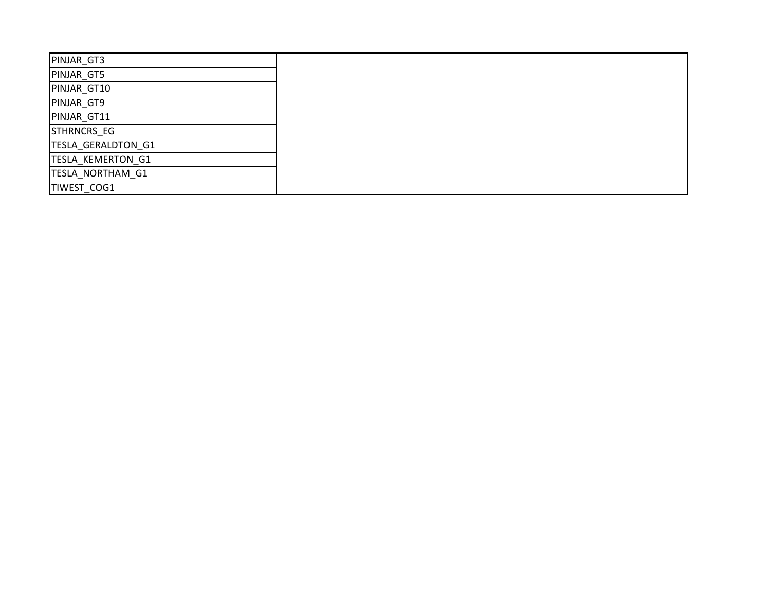| PINJAR_GT3         |
|--------------------|
| PINJAR_GT5         |
| PINJAR_GT10        |
| PINJAR_GT9         |
| PINJAR GT11        |
| STHRNCRS EG        |
| TESLA_GERALDTON_G1 |
| TESLA_KEMERTON_G1  |
| TESLA_NORTHAM_G1   |
| TIWEST_COG1        |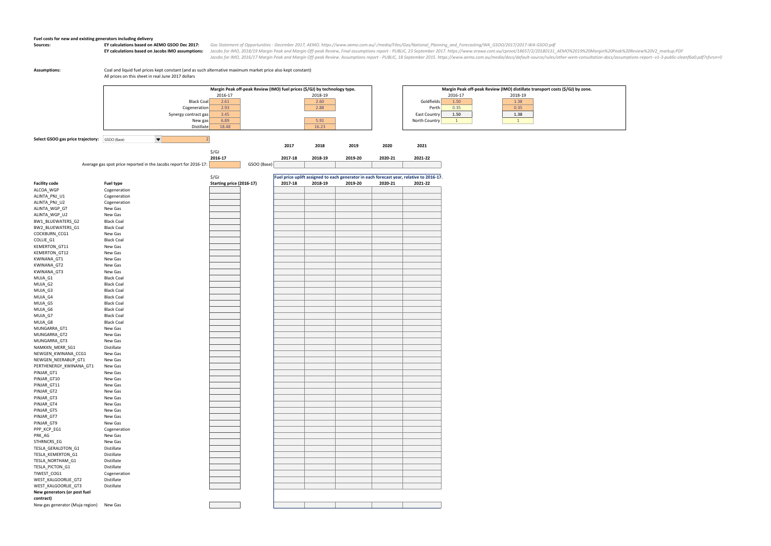### **Fuel costs for new and existing generators including delivery**

Sources: EY calculations based on AEMO GSOO Dec 2017: Gas Statement of Opportunities - December 2017, AEMO. https://www.aemo.com.au/-/media/Files/Gas/National\_Planning\_and\_Forecasting/WA\_GSOO/2017/2017-WA-GSOO.pdf EY calculations based on Jacobs IMO assumptions: Jacobs for IMO, 2018/19 Margin Peak and Margin Off-peak Review, Final assumptions report - PUBLIC, 23 September 2017. https://www.erawa.com.au/cproot/18657/2/20180131\_AEMO%2 Jacobs for IMO, 2016/17 Margin Peak and Margin Off-peak Review. Assumptions report - PUBLIC, 18 September 2015. https://www.aemo.com.au/media/docs/default-source/rules/other-wem-consultation-docs/assumptions-report--v1-3-p

**Assumptions:** Coal and liquid fuel prices kept constant (and as such alternative maximum market price also kept constant) All prices on this sheet in real June 2017 dollars

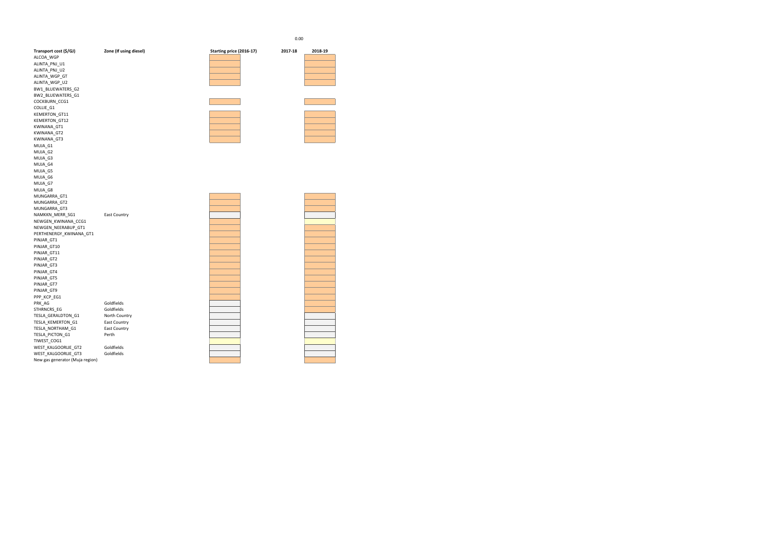| Transport cost (\$/GJ)          | Zone (If using diesel) | Starting price (2016-17) | 2017-18 | 2018-19 |
|---------------------------------|------------------------|--------------------------|---------|---------|
| ALCOA_WGP                       |                        |                          |         |         |
| ALINTA_PNJ_U1                   |                        |                          |         |         |
| ALINTA_PNJ_U2                   |                        |                          |         |         |
| ALINTA_WGP_GT                   |                        |                          |         |         |
| ALINTA_WGP_U2                   |                        |                          |         |         |
| BW1_BLUEWATERS_G2               |                        |                          |         |         |
| BW2_BLUEWATERS_G1               |                        |                          |         |         |
| COCKBURN_CCG1                   |                        |                          |         |         |
| COLLIE_G1                       |                        |                          |         |         |
| KEMERTON_GT11                   |                        |                          |         |         |
| KEMERTON_GT12                   |                        |                          |         |         |
| KWINANA_GT1                     |                        |                          |         |         |
| KWINANA_GT2                     |                        |                          |         |         |
| KWINANA_GT3                     |                        |                          |         |         |
| MUJA_G1                         |                        |                          |         |         |
| MUJA_G2                         |                        |                          |         |         |
| MUJA_G3                         |                        |                          |         |         |
| MUJA_G4                         |                        |                          |         |         |
| MUJA_G5                         |                        |                          |         |         |
| MUJA_G6                         |                        |                          |         |         |
| MUJA_G7                         |                        |                          |         |         |
| MUJA_G8                         |                        |                          |         |         |
| MUNGARRA_GT1                    |                        |                          |         |         |
| MUNGARRA_GT2                    |                        |                          |         |         |
| MUNGARRA_GT3                    |                        |                          |         |         |
| NAMKKN_MERR_SG1                 | <b>East Country</b>    |                          |         |         |
| NEWGEN_KWINANA_CCG1             |                        |                          |         |         |
| NEWGEN_NEERABUP_GT1             |                        |                          |         |         |
| PERTHENERGY_KWINANA_GT1         |                        |                          |         |         |
| PINJAR_GT1                      |                        |                          |         |         |
| PINJAR_GT10                     |                        |                          |         |         |
| PINJAR_GT11                     |                        |                          |         |         |
| PINJAR_GT2                      |                        |                          |         |         |
| PINJAR_GT3                      |                        |                          |         |         |
| PINJAR_GT4                      |                        |                          |         |         |
| PINJAR_GT5                      |                        |                          |         |         |
| PINJAR_GT7                      |                        |                          |         |         |
| PINJAR_GT9                      |                        |                          |         |         |
| PPP_KCP_EG1                     |                        |                          |         |         |
| PRK_AG                          | Goldfields             |                          |         |         |
| STHRNCRS_EG                     | Goldfields             |                          |         |         |
| TESLA_GERALDTON_G1              | North Country          |                          |         |         |
| TESLA_KEMERTON_G1               | <b>East Country</b>    |                          |         |         |
| TESLA_NORTHAM_G1                | <b>East Country</b>    |                          |         |         |
| TESLA_PICTON_G1                 | Perth                  |                          |         |         |
| TIWEST_COG1                     |                        |                          |         |         |
| WEST_KALGOORLIE_GT2             | Goldfields             |                          |         |         |
| WEST_KALGOORLIE_GT3             | Goldfields             |                          |         |         |
| New gas generator (Muja region) |                        |                          |         |         |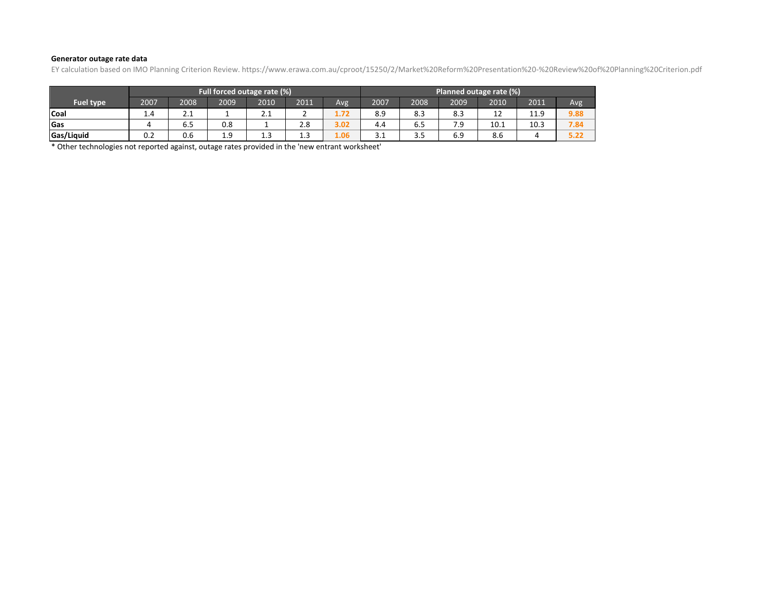### **Generator outage rate data**

EY calculation based on IMO Planning Criterion Review. https://www.erawa.com.au/cproot/15250/2/Market%20Reform%20Presentation%20-%20Review%20of%20Planning%20Criterion.pdf

|                  | Full forced outage rate (%) |      |      |                         |                | Planned outage rate (%) |      |                   |      |      |      |      |
|------------------|-----------------------------|------|------|-------------------------|----------------|-------------------------|------|-------------------|------|------|------|------|
| <b>Fuel type</b> | 2007                        | 2008 | 2009 | 2010                    | 2011           | Avg                     | 2007 | 2008              | 2009 | 2010 | 2011 | Avg  |
| Coal             | 1.4                         | 2.1  |      | ີ.<br><b><i>L</i>.L</b> |                | 1.72                    | 8.9  | 8.3               | 8.3  | 12   | 11.9 | 9.88 |
| Gas              |                             | 6.5  | 0.8  |                         | 2.8            | 3.02                    | 4.4  | 6.5               | 7.9  | 10.1 | 10.3 | 7.84 |
| Gas/Liquid       | 0.2                         | 0.6  | 1.9  | 1.3                     | $\sim$<br>1. J | 1.06                    | 3.1  | $\sim$ $\sim$<br> | 6.9  | 8.6  |      | 5.22 |

\* Other technologies not reported against, outage rates provided in the 'new entrant worksheet'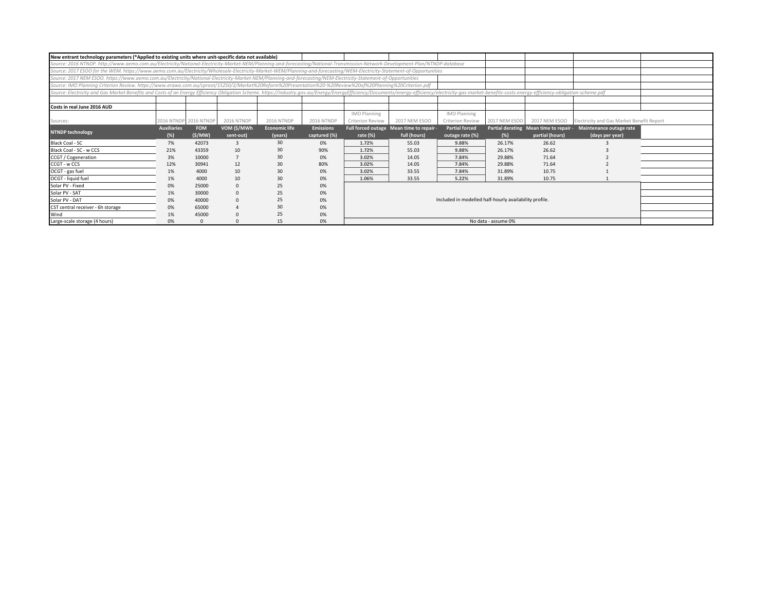| New entrant technology parameters (*Applied to existing units where unit-specific data not available)                                                                                                                          |                    |                       |                   |                      |                   |                         |                                          |                                                        |                     |                                        |                                           |  |
|--------------------------------------------------------------------------------------------------------------------------------------------------------------------------------------------------------------------------------|--------------------|-----------------------|-------------------|----------------------|-------------------|-------------------------|------------------------------------------|--------------------------------------------------------|---------------------|----------------------------------------|-------------------------------------------|--|
| Source: 2016 NTNDP. http://www.aemo.com.au/Electricity/National-Electricity-Market-NEM/Planning-and-forecasting/National-Transmission-Network-Development-Plan/NTNDP-database                                                  |                    |                       |                   |                      |                   |                         |                                          |                                                        |                     |                                        |                                           |  |
| Source: 2017 ESOO for the WEM. https://www.aemo.com.au/Electricity/Wholesale-Electricity-Market-WEM/Planning-and-forecasting/WEM-Electricity-Statement-of-Opportunities                                                        |                    |                       |                   |                      |                   |                         |                                          |                                                        |                     |                                        |                                           |  |
| Source: 2017 NEM ESOO. https://www.aemo.com.au/Electricity/National-Electricity-Market-NEM/Planning-and-forecasting/NEM-Electricity-Statement-of-Opportunities                                                                 |                    |                       |                   |                      |                   |                         |                                          |                                                        |                     |                                        |                                           |  |
| Source: IMO Planning Criterion Review. https://www.erawa.com.au/cproot/15250/2/Market%20Reform%20Presentation%20-%20Review%20of%20Planning%20Criterion.pdf                                                                     |                    |                       |                   |                      |                   |                         |                                          |                                                        |                     |                                        |                                           |  |
| Source: Electricity and Gas Market Benefits and Costs of an Energy Efficiency Obligation Scheme. https://industry.gov.au/Energy/Energy/Energy/Documents/energy-efficiency/electricity-gas-market-benefits-costs-energy-efficie |                    |                       |                   |                      |                   |                         |                                          |                                                        |                     |                                        |                                           |  |
|                                                                                                                                                                                                                                |                    |                       |                   |                      |                   |                         |                                          |                                                        |                     |                                        |                                           |  |
| Costs in real June 2016 AUD                                                                                                                                                                                                    |                    |                       |                   |                      |                   |                         |                                          |                                                        |                     |                                        |                                           |  |
|                                                                                                                                                                                                                                |                    |                       |                   |                      |                   | <b>IMO Planning</b>     |                                          | <b>IMO Planning</b>                                    |                     |                                        |                                           |  |
| Sources:                                                                                                                                                                                                                       |                    | 2016 NTNDP 2016 NTNDP | <b>2016 NTNDP</b> | <b>2016 NTNDP</b>    | <b>2016 NTNDP</b> | <b>Criterion Review</b> | 2017 NEM ESOO                            | <b>Criterion Review</b>                                | 2017 NEM ESOO       | 2017 NEM ESOO                          | Electricity and Gas Market Benefit Report |  |
|                                                                                                                                                                                                                                | <b>Auxiliaries</b> | <b>FOM</b>            | VOM (\$/MWh       | <b>Economic life</b> | <b>Emissions</b>  |                         | Full forced outage Mean time to repair - | <b>Partial forced</b>                                  |                     | Partial derating Mean time to repair . | Maintenance outage rate                   |  |
| <b>NTNDP technology</b>                                                                                                                                                                                                        | (%)                | (S/MW)                | sent-out)         | (years)              | captured (%)      | rate $(\%)$             | full (hours)                             | outage rate (%)                                        | (%)                 | partial (hours)                        | (days per year)                           |  |
| Black Coal - SC                                                                                                                                                                                                                | 7%                 | 42073                 |                   | 30                   | 0%                | 1.72%                   | 55.03                                    | 9.88%                                                  | 26.17%              | 26.62                                  |                                           |  |
| Black Coal - SC - w CCS                                                                                                                                                                                                        | 21%                | 43359                 | 10                | 30                   | 90%               | 1.72%                   | 55.03                                    | 9.88%                                                  | 26.17%              | 26.62                                  |                                           |  |
| CCGT / Cogeneration                                                                                                                                                                                                            | 3%                 | 10000                 |                   | 30                   | 0%                | 3.02%                   | 14.05                                    | 7.84%                                                  | 29.88%              | 71.64                                  |                                           |  |
| CCGT - w CCS                                                                                                                                                                                                                   | 12%                | 30941                 | 12                | 30                   | 80%               | 3.02%                   | 14.05                                    | 7.84%                                                  | 29.88%              | 71.64                                  |                                           |  |
| OCGT - gas fuel                                                                                                                                                                                                                | 1%                 | 4000                  | 10                | 30                   | 0%                | 3.02%                   | 33.55                                    | 7.84%                                                  | 31.89%              | 10.75                                  |                                           |  |
| OCGT - liquid fuel                                                                                                                                                                                                             | 1%                 | 4000                  | 10                | 30                   | 0%                | 1.06%                   | 33.55                                    | 5.22%                                                  | 31.89%              | 10.75                                  |                                           |  |
| Solar PV - Fixed                                                                                                                                                                                                               | 0%                 | 25000                 |                   | 25                   | 0%                |                         |                                          |                                                        |                     |                                        |                                           |  |
| Solar PV - SAT                                                                                                                                                                                                                 | 1%                 | 30000                 |                   | 25                   | 0%                |                         |                                          |                                                        |                     |                                        |                                           |  |
| Solar PV - DAT                                                                                                                                                                                                                 | 0%                 | 40000                 |                   | 25                   | 0%                |                         |                                          | Included in modelled half-hourly availability profile. |                     |                                        |                                           |  |
| CST central receiver - 6h storage                                                                                                                                                                                              | 0%                 | 65000                 |                   | 30                   | 0%                |                         |                                          |                                                        |                     |                                        |                                           |  |
| Wind                                                                                                                                                                                                                           | 1%                 | 45000                 |                   | 25                   | 0%                |                         |                                          |                                                        |                     |                                        |                                           |  |
| Large-scale storage (4 hours)                                                                                                                                                                                                  | 0%                 |                       |                   | 15                   | 0%                |                         |                                          |                                                        | No data - assume 0% |                                        |                                           |  |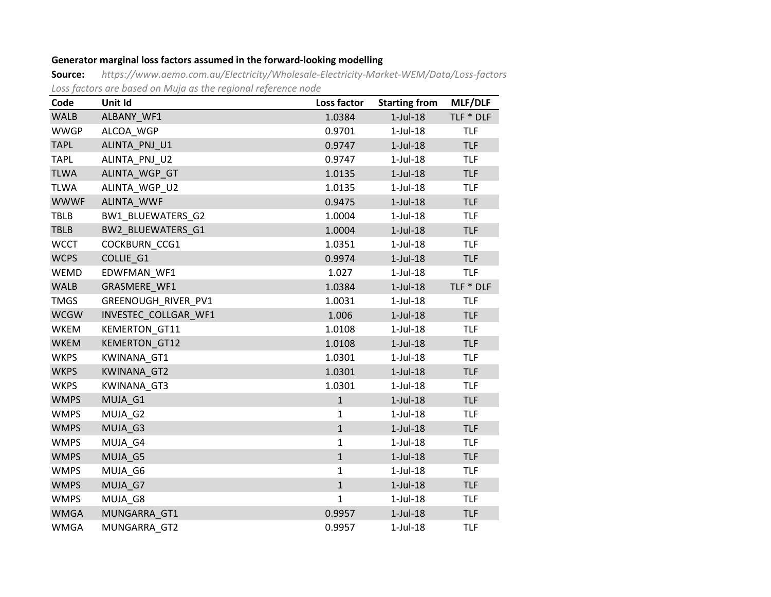# **Generator marginal loss factors assumed in the forward-looking modelling**

**Source:** *<https://www.aemo.com.au/Electricity/Wholesale-Electricity-Market-WEM/Data/Loss-factors> Loss factors are based on Muja as the regional reference node*

| Code        | Unit Id              | Loss factor  | <b>Starting from</b> | MLF/DLF    |
|-------------|----------------------|--------------|----------------------|------------|
| <b>WALB</b> | ALBANY_WF1           | 1.0384       | $1$ -Jul- $18$       | TLF * DLF  |
| <b>WWGP</b> | ALCOA_WGP            | 0.9701       | $1$ -Jul- $18$       | <b>TLF</b> |
| <b>TAPL</b> | ALINTA PNJ U1        | 0.9747       | $1$ -Jul- $18$       | <b>TLF</b> |
| <b>TAPL</b> | ALINTA PNJ U2        | 0.9747       | $1$ -Jul- $18$       | <b>TLF</b> |
| <b>TLWA</b> | ALINTA_WGP_GT        | 1.0135       | $1$ -Jul- $18$       | <b>TLF</b> |
| <b>TLWA</b> | ALINTA WGP U2        | 1.0135       | $1$ -Jul- $18$       | <b>TLF</b> |
| <b>WWWF</b> | ALINTA WWF           | 0.9475       | $1$ -Jul- $18$       | <b>TLF</b> |
| <b>TBLB</b> | BW1_BLUEWATERS_G2    | 1.0004       | $1$ -Jul- $18$       | <b>TLF</b> |
| <b>TBLB</b> | BW2_BLUEWATERS_G1    | 1.0004       | $1$ -Jul- $18$       | <b>TLF</b> |
| <b>WCCT</b> | <b>COCKBURN CCG1</b> | 1.0351       | $1$ -Jul- $18$       | <b>TLF</b> |
| <b>WCPS</b> | COLLIE G1            | 0.9974       | $1$ -Jul- $18$       | <b>TLF</b> |
| WEMD        | EDWFMAN WF1          | 1.027        | $1$ -Jul- $18$       | <b>TLF</b> |
| WALB        | GRASMERE WF1         | 1.0384       | $1$ -Jul- $18$       | TLF * DLF  |
| <b>TMGS</b> | GREENOUGH RIVER PV1  | 1.0031       | $1$ -Jul- $18$       | <b>TLF</b> |
| <b>WCGW</b> | INVESTEC COLLGAR WF1 | 1.006        | $1$ -Jul- $18$       | <b>TLF</b> |
| WKEM        | <b>KEMERTON GT11</b> | 1.0108       | $1$ -Jul- $18$       | <b>TLF</b> |
| <b>WKEM</b> | <b>KEMERTON GT12</b> | 1.0108       | $1$ -Jul- $18$       | <b>TLF</b> |
| <b>WKPS</b> | KWINANA_GT1          | 1.0301       | $1$ -Jul- $18$       | <b>TLF</b> |
| <b>WKPS</b> | <b>KWINANA GT2</b>   | 1.0301       | $1$ -Jul- $18$       | <b>TLF</b> |
| <b>WKPS</b> | <b>KWINANA GT3</b>   | 1.0301       | $1$ -Jul- $18$       | <b>TLF</b> |
| <b>WMPS</b> | MUJA G1              | $\mathbf{1}$ | $1$ -Jul- $18$       | <b>TLF</b> |
| <b>WMPS</b> | MUJA G2              | $\mathbf{1}$ | $1$ -Jul- $18$       | <b>TLF</b> |
| <b>WMPS</b> | MUJA_G3              | $\mathbf{1}$ | $1$ -Jul- $18$       | <b>TLF</b> |
| <b>WMPS</b> | MUJA G4              | $\mathbf{1}$ | $1$ -Jul- $18$       | <b>TLF</b> |
| <b>WMPS</b> | MUJA G5              | $\mathbf{1}$ | $1$ -Jul- $18$       | <b>TLF</b> |
| <b>WMPS</b> | MUJA G6              | $\mathbf{1}$ | $1$ -Jul- $18$       | <b>TLF</b> |
| <b>WMPS</b> | MUJA G7              | $\mathbf{1}$ | $1$ -Jul- $18$       | <b>TLF</b> |
| <b>WMPS</b> | MUJA G8              | $\mathbf{1}$ | $1$ -Jul- $18$       | <b>TLF</b> |
| <b>WMGA</b> | MUNGARRA GT1         | 0.9957       | $1$ -Jul- $18$       | <b>TLF</b> |
| <b>WMGA</b> | MUNGARRA GT2         | 0.9957       | $1$ -Jul- $18$       | <b>TLF</b> |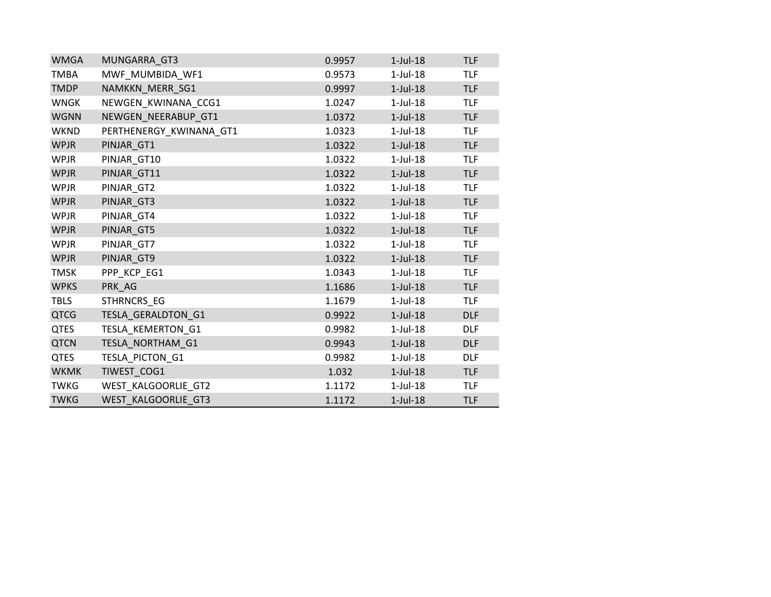| <b>WMGA</b> | MUNGARRA_GT3            | 0.9957 | $1$ -Jul- $18$ | <b>TLF</b> |
|-------------|-------------------------|--------|----------------|------------|
| <b>TMBA</b> | MWF_MUMBIDA_WF1         | 0.9573 | $1$ -Jul- $18$ | <b>TLF</b> |
| <b>TMDP</b> | NAMKKN MERR SG1         | 0.9997 | $1$ -Jul- $18$ | <b>TLF</b> |
| <b>WNGK</b> | NEWGEN KWINANA CCG1     | 1.0247 | $1$ -Jul- $18$ | <b>TLF</b> |
| <b>WGNN</b> | NEWGEN NEERABUP GT1     | 1.0372 | $1$ -Jul- $18$ | <b>TLF</b> |
| <b>WKND</b> | PERTHENERGY_KWINANA_GT1 | 1.0323 | $1$ -Jul- $18$ | <b>TLF</b> |
| <b>WPJR</b> | PINJAR_GT1              | 1.0322 | $1$ -Jul- $18$ | <b>TLF</b> |
| <b>WPJR</b> | PINJAR_GT10             | 1.0322 | $1$ -Jul- $18$ | <b>TLF</b> |
| <b>WPJR</b> | PINJAR_GT11             | 1.0322 | $1$ -Jul- $18$ | <b>TLF</b> |
| <b>WPJR</b> | PINJAR_GT2              | 1.0322 | $1$ -Jul- $18$ | <b>TLF</b> |
| <b>WPJR</b> | PINJAR_GT3              | 1.0322 | $1$ -Jul- $18$ | <b>TLF</b> |
| <b>WPJR</b> | PINJAR_GT4              | 1.0322 | $1$ -Jul- $18$ | <b>TLF</b> |
| <b>WPJR</b> | PINJAR_GT5              | 1.0322 | $1$ -Jul- $18$ | <b>TLF</b> |
| <b>WPJR</b> | PINJAR_GT7              | 1.0322 | $1$ -Jul- $18$ | <b>TLF</b> |
| <b>WPJR</b> | PINJAR GT9              | 1.0322 | $1$ -Jul- $18$ | <b>TLF</b> |
| <b>TMSK</b> | PPP_KCP_EG1             | 1.0343 | $1$ -Jul- $18$ | <b>TLF</b> |
| <b>WPKS</b> | PRK AG                  | 1.1686 | $1$ -Jul- $18$ | <b>TLF</b> |
| <b>TBLS</b> | STHRNCRS_EG             | 1.1679 | $1$ -Jul- $18$ | <b>TLF</b> |
| <b>QTCG</b> | TESLA GERALDTON G1      | 0.9922 | $1$ -Jul- $18$ | <b>DLF</b> |
| <b>QTES</b> | TESLA_KEMERTON_G1       | 0.9982 | $1$ -Jul- $18$ | <b>DLF</b> |
| <b>QTCN</b> | TESLA_NORTHAM_G1        | 0.9943 | $1$ -Jul- $18$ | <b>DLF</b> |
| <b>QTES</b> | TESLA_PICTON_G1         | 0.9982 | $1$ -Jul- $18$ | <b>DLF</b> |
| <b>WKMK</b> | TIWEST_COG1             | 1.032  | $1$ -Jul- $18$ | <b>TLF</b> |
| <b>TWKG</b> | WEST_KALGOORLIE_GT2     | 1.1172 | $1$ -Jul- $18$ | <b>TLF</b> |
| <b>TWKG</b> | WEST KALGOORLIE GT3     | 1.1172 | $1$ -Jul- $18$ | <b>TLF</b> |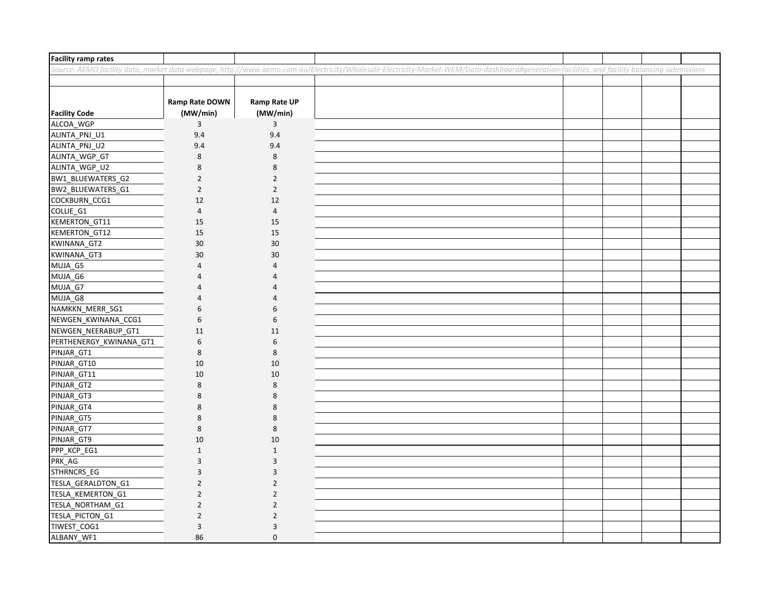| <b>Facility ramp rates</b> |                                   |                                 |                                                                                                                                                                                               |  |  |
|----------------------------|-----------------------------------|---------------------------------|-----------------------------------------------------------------------------------------------------------------------------------------------------------------------------------------------|--|--|
|                            |                                   |                                 | Source: AEMO facility data, market data webpage, http://www.aemo.com.au/Electricity/Wholesale-Electricity-Market-WEM/Data-dashboard#generation-facilities, and facility balancing submissions |  |  |
|                            |                                   |                                 |                                                                                                                                                                                               |  |  |
| <b>Facility Code</b>       | <b>Ramp Rate DOWN</b><br>(MW/min) | <b>Ramp Rate UP</b><br>(MW/min) |                                                                                                                                                                                               |  |  |
| ALCOA_WGP                  | 3                                 | 3                               |                                                                                                                                                                                               |  |  |
| ALINTA_PNJ_U1              | 9.4                               | 9.4                             |                                                                                                                                                                                               |  |  |
| ALINTA_PNJ_U2              | 9.4                               | 9.4                             |                                                                                                                                                                                               |  |  |
| ALINTA_WGP_GT              | $\bf 8$                           | $\,8\,$                         |                                                                                                                                                                                               |  |  |
| ALINTA_WGP_U2              | 8                                 | 8                               |                                                                                                                                                                                               |  |  |
| BW1_BLUEWATERS_G2          | $\overline{2}$                    | $\overline{2}$                  |                                                                                                                                                                                               |  |  |
| BW2_BLUEWATERS_G1          | $\overline{2}$                    | $\overline{2}$                  |                                                                                                                                                                                               |  |  |
| COCKBURN_CCG1              | 12                                | 12                              |                                                                                                                                                                                               |  |  |
| COLLIE_G1                  | $\overline{4}$                    | $\overline{4}$                  |                                                                                                                                                                                               |  |  |
| KEMERTON_GT11              | 15                                | 15                              |                                                                                                                                                                                               |  |  |
| KEMERTON_GT12              | 15                                | 15                              |                                                                                                                                                                                               |  |  |
| KWINANA_GT2                | 30                                | 30                              |                                                                                                                                                                                               |  |  |
| KWINANA_GT3                | 30                                | 30                              |                                                                                                                                                                                               |  |  |
| MUJA_G5                    | 4                                 | $\overline{4}$                  |                                                                                                                                                                                               |  |  |
| MUJA_G6                    | Δ                                 | $\overline{a}$                  |                                                                                                                                                                                               |  |  |
| MUJA_G7                    | Δ                                 | $\overline{a}$                  |                                                                                                                                                                                               |  |  |
| MUJA_G8                    |                                   | $\overline{4}$                  |                                                                                                                                                                                               |  |  |
| NAMKKN_MERR_SG1            | 6                                 | 6                               |                                                                                                                                                                                               |  |  |
| NEWGEN_KWINANA_CCG1        | 6                                 | 6                               |                                                                                                                                                                                               |  |  |
| NEWGEN_NEERABUP_GT1        | 11                                | 11                              |                                                                                                                                                                                               |  |  |
| PERTHENERGY_KWINANA_GT1    | 6                                 | 6                               |                                                                                                                                                                                               |  |  |
| PINJAR_GT1                 | 8                                 | $\,8\,$                         |                                                                                                                                                                                               |  |  |
| PINJAR_GT10                | 10                                | 10                              |                                                                                                                                                                                               |  |  |
| PINJAR_GT11                | 10                                | 10                              |                                                                                                                                                                                               |  |  |
| PINJAR_GT2                 | 8                                 | 8                               |                                                                                                                                                                                               |  |  |
| PINJAR_GT3                 | 8                                 | 8                               |                                                                                                                                                                                               |  |  |
| PINJAR_GT4                 | 8                                 | 8                               |                                                                                                                                                                                               |  |  |
| PINJAR_GT5                 | 8                                 | 8                               |                                                                                                                                                                                               |  |  |
| PINJAR_GT7                 | 8                                 | 8                               |                                                                                                                                                                                               |  |  |
| PINJAR_GT9                 | 10                                | 10                              |                                                                                                                                                                                               |  |  |
| PPP_KCP_EG1                | $\mathbf{1}$                      | $\mathbf 1$                     |                                                                                                                                                                                               |  |  |
| PRK_AG                     | 3                                 | 3                               |                                                                                                                                                                                               |  |  |
| STHRNCRS_EG                | 3                                 | 3                               |                                                                                                                                                                                               |  |  |
| TESLA_GERALDTON_G1         | $\overline{2}$                    | $\overline{2}$                  |                                                                                                                                                                                               |  |  |
| TESLA_KEMERTON_G1          | $\overline{2}$                    | $\mathbf 2$                     |                                                                                                                                                                                               |  |  |
| TESLA_NORTHAM_G1           | $\overline{2}$                    | $\overline{2}$                  |                                                                                                                                                                                               |  |  |
| TESLA_PICTON_G1            | $\overline{2}$                    | $\overline{2}$                  |                                                                                                                                                                                               |  |  |
| TIWEST_COG1                | 3                                 | 3                               |                                                                                                                                                                                               |  |  |
| ALBANY WF1                 | 86                                | $\mathbf 0$                     |                                                                                                                                                                                               |  |  |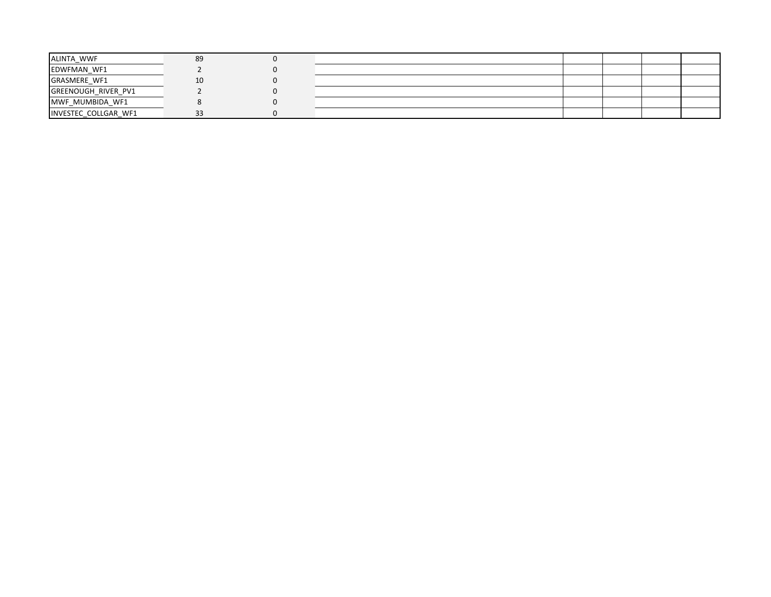| ALINTA WWF                 | 89 |  |  |  |
|----------------------------|----|--|--|--|
| EDWFMAN_WF1                |    |  |  |  |
| <b>GRASMERE WF1</b>        | 10 |  |  |  |
| <b>GREENOUGH RIVER PV1</b> |    |  |  |  |
| MWF_MUMBIDA_WF1            |    |  |  |  |
| INVESTEC COLLGAR WF1       | 33 |  |  |  |